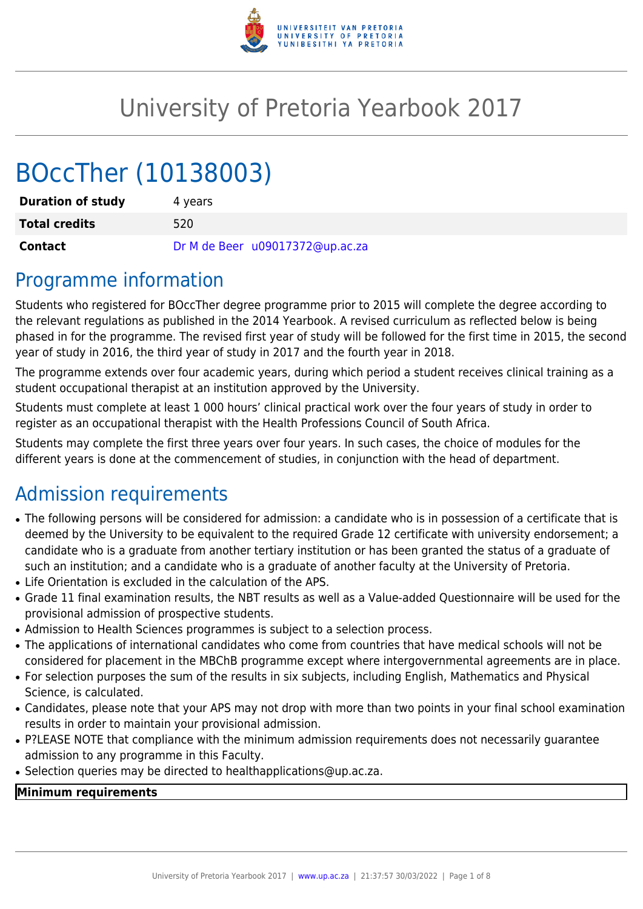

# University of Pretoria Yearbook 2017

# BOccTher (10138003)

| <b>Duration of study</b> | 4 years                         |  |  |  |  |  |  |
|--------------------------|---------------------------------|--|--|--|--|--|--|
| <b>Total credits</b>     | 520                             |  |  |  |  |  |  |
| Contact                  | Dr M de Beer u09017372@up.ac.za |  |  |  |  |  |  |

### Programme information

Students who registered for BOccTher degree programme prior to 2015 will complete the degree according to the relevant regulations as published in the 2014 Yearbook. A revised curriculum as reflected below is being phased in for the programme. The revised first year of study will be followed for the first time in 2015, the second year of study in 2016, the third year of study in 2017 and the fourth year in 2018.

The programme extends over four academic years, during which period a student receives clinical training as a student occupational therapist at an institution approved by the University.

Students must complete at least 1 000 hours' clinical practical work over the four years of study in order to register as an occupational therapist with the Health Professions Council of South Africa.

Students may complete the first three years over four years. In such cases, the choice of modules for the different years is done at the commencement of studies, in conjunction with the head of department.

# Admission requirements

- The following persons will be considered for admission: a candidate who is in possession of a certificate that is deemed by the University to be equivalent to the required Grade 12 certificate with university endorsement; a candidate who is a graduate from another tertiary institution or has been granted the status of a graduate of such an institution; and a candidate who is a graduate of another faculty at the University of Pretoria.
- Life Orientation is excluded in the calculation of the APS.
- Grade 11 final examination results, the NBT results as well as a Value-added Questionnaire will be used for the provisional admission of prospective students.
- Admission to Health Sciences programmes is subject to a selection process.
- The applications of international candidates who come from countries that have medical schools will not be considered for placement in the MBChB programme except where intergovernmental agreements are in place.
- For selection purposes the sum of the results in six subjects, including English, Mathematics and Physical Science, is calculated.
- Candidates, please note that your APS may not drop with more than two points in your final school examination results in order to maintain your provisional admission.
- P?LEASE NOTE that compliance with the minimum admission requirements does not necessarily quarantee admission to any programme in this Faculty.
- Selection queries may be directed to healthapplications@up.ac.za.

#### **Minimum requirements**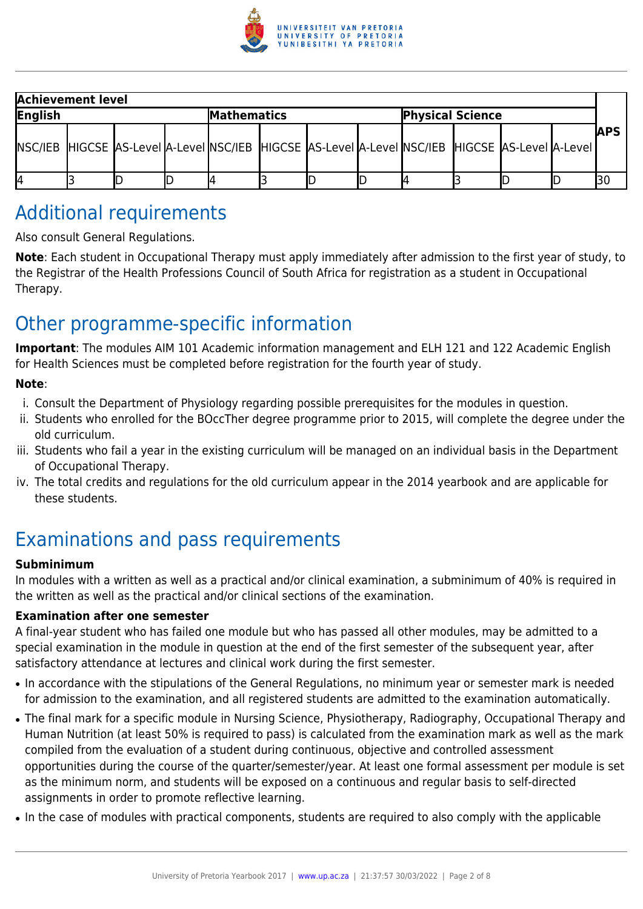

|         | <b>Achievement level</b> |  |  |             |  |  |  |                                                                                                             |  |  |  |             |
|---------|--------------------------|--|--|-------------|--|--|--|-------------------------------------------------------------------------------------------------------------|--|--|--|-------------|
| English |                          |  |  | Mathematics |  |  |  | <b>Physical Science</b>                                                                                     |  |  |  |             |
|         |                          |  |  |             |  |  |  | [NSC/IEB] HIGCSE [AS-Level ]A-Level ]NSC/IEB [HIGCSE ]AS-Level ]A-Level ]NSC/IEB [HIGCSE ]AS-Level ]A-Level |  |  |  | <b>IAPS</b> |
| 14      |                          |  |  |             |  |  |  |                                                                                                             |  |  |  |             |

# Additional requirements

Also consult General Regulations.

**Note**: Each student in Occupational Therapy must apply immediately after admission to the first year of study, to the Registrar of the Health Professions Council of South Africa for registration as a student in Occupational Therapy.

# Other programme-specific information

**Important**: The modules AIM 101 Academic information management and ELH 121 and 122 Academic English for Health Sciences must be completed before registration for the fourth year of study.

#### **Note**:

- i. Consult the Department of Physiology regarding possible prerequisites for the modules in question.
- ii. Students who enrolled for the BOccTher degree programme prior to 2015, will complete the degree under the old curriculum.
- iii. Students who fail a year in the existing curriculum will be managed on an individual basis in the Department of Occupational Therapy.
- iv. The total credits and regulations for the old curriculum appear in the 2014 yearbook and are applicable for these students.

# Examinations and pass requirements

#### **Subminimum**

In modules with a written as well as a practical and/or clinical examination, a subminimum of 40% is required in the written as well as the practical and/or clinical sections of the examination.

#### **Examination after one semester**

A final-year student who has failed one module but who has passed all other modules, may be admitted to a special examination in the module in question at the end of the first semester of the subsequent year, after satisfactory attendance at lectures and clinical work during the first semester.

- In accordance with the stipulations of the General Regulations, no minimum year or semester mark is needed for admission to the examination, and all registered students are admitted to the examination automatically.
- The final mark for a specific module in Nursing Science, Physiotherapy, Radiography, Occupational Therapy and Human Nutrition (at least 50% is required to pass) is calculated from the examination mark as well as the mark compiled from the evaluation of a student during continuous, objective and controlled assessment opportunities during the course of the quarter/semester/year. At least one formal assessment per module is set as the minimum norm, and students will be exposed on a continuous and regular basis to self-directed assignments in order to promote reflective learning.
- In the case of modules with practical components, students are required to also comply with the applicable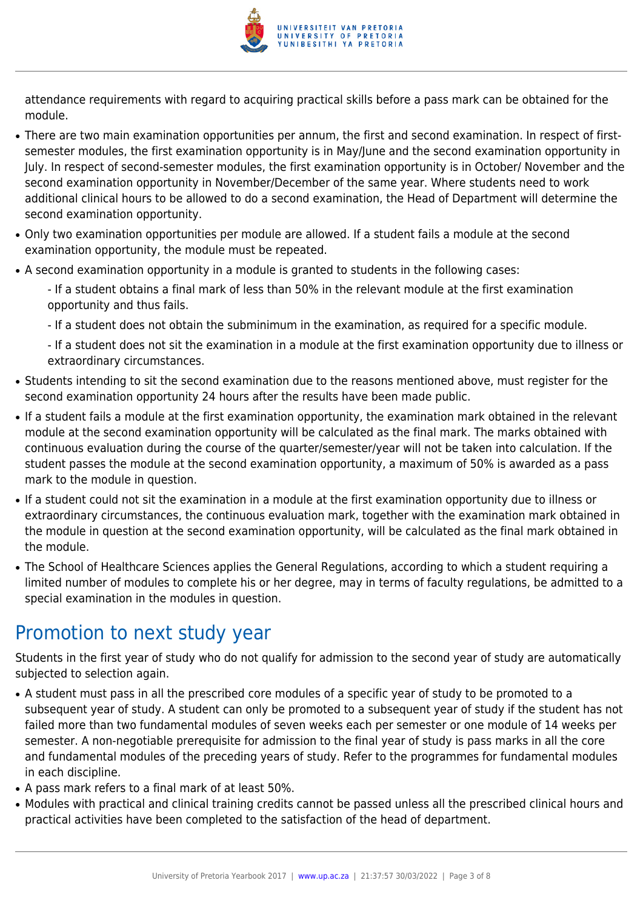

attendance requirements with regard to acquiring practical skills before a pass mark can be obtained for the module.

- There are two main examination opportunities per annum, the first and second examination. In respect of firstsemester modules, the first examination opportunity is in May/June and the second examination opportunity in July. In respect of second-semester modules, the first examination opportunity is in October/ November and the second examination opportunity in November/December of the same year. Where students need to work additional clinical hours to be allowed to do a second examination, the Head of Department will determine the second examination opportunity.
- Only two examination opportunities per module are allowed. If a student fails a module at the second examination opportunity, the module must be repeated.
- A second examination opportunity in a module is granted to students in the following cases:
	- If a student obtains a final mark of less than 50% in the relevant module at the first examination opportunity and thus fails.
	- If a student does not obtain the subminimum in the examination, as required for a specific module.

- If a student does not sit the examination in a module at the first examination opportunity due to illness or extraordinary circumstances.

- Students intending to sit the second examination due to the reasons mentioned above, must register for the second examination opportunity 24 hours after the results have been made public.
- If a student fails a module at the first examination opportunity, the examination mark obtained in the relevant module at the second examination opportunity will be calculated as the final mark. The marks obtained with continuous evaluation during the course of the quarter/semester/year will not be taken into calculation. If the student passes the module at the second examination opportunity, a maximum of 50% is awarded as a pass mark to the module in question.
- If a student could not sit the examination in a module at the first examination opportunity due to illness or extraordinary circumstances, the continuous evaluation mark, together with the examination mark obtained in the module in question at the second examination opportunity, will be calculated as the final mark obtained in the module.
- The School of Healthcare Sciences applies the General Regulations, according to which a student requiring a limited number of modules to complete his or her degree, may in terms of faculty regulations, be admitted to a special examination in the modules in question.

### Promotion to next study year

Students in the first year of study who do not qualify for admission to the second year of study are automatically subjected to selection again.

- A student must pass in all the prescribed core modules of a specific year of study to be promoted to a subsequent year of study. A student can only be promoted to a subsequent year of study if the student has not failed more than two fundamental modules of seven weeks each per semester or one module of 14 weeks per semester. A non-negotiable prerequisite for admission to the final year of study is pass marks in all the core and fundamental modules of the preceding years of study. Refer to the programmes for fundamental modules in each discipline.
- A pass mark refers to a final mark of at least 50%.
- Modules with practical and clinical training credits cannot be passed unless all the prescribed clinical hours and practical activities have been completed to the satisfaction of the head of department.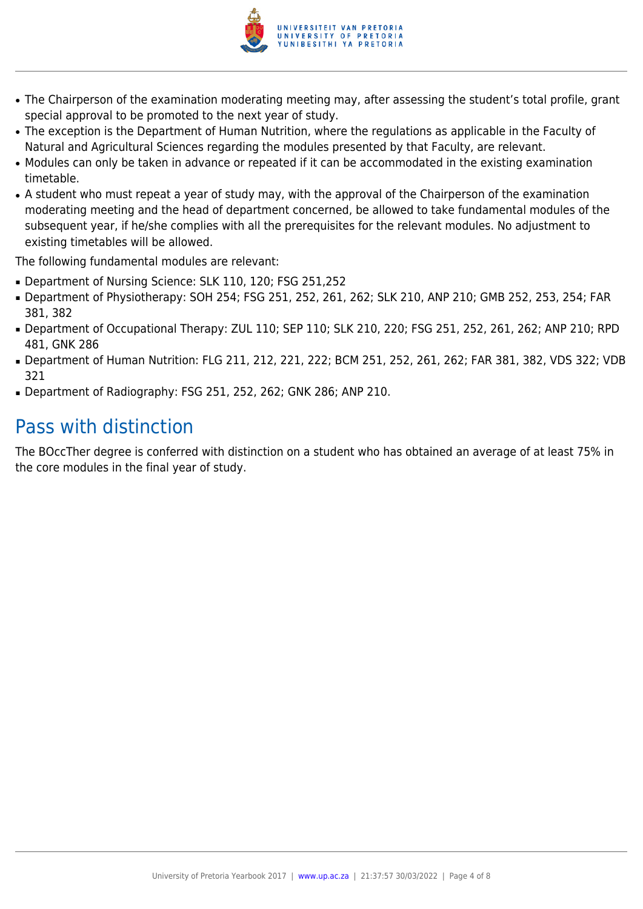

- The Chairperson of the examination moderating meeting may, after assessing the student's total profile, grant special approval to be promoted to the next year of study.
- The exception is the Department of Human Nutrition, where the regulations as applicable in the Faculty of Natural and Agricultural Sciences regarding the modules presented by that Faculty, are relevant.
- Modules can only be taken in advance or repeated if it can be accommodated in the existing examination timetable.
- A student who must repeat a year of study may, with the approval of the Chairperson of the examination moderating meeting and the head of department concerned, be allowed to take fundamental modules of the subsequent year, if he/she complies with all the prerequisites for the relevant modules. No adjustment to existing timetables will be allowed.

The following fundamental modules are relevant:

- Department of Nursing Science: SLK 110, 120; FSG 251,252
- Department of Physiotherapy: SOH 254; FSG 251, 252, 261, 262; SLK 210, ANP 210; GMB 252, 253, 254; FAR 381, 382
- Department of Occupational Therapy: ZUL 110; SEP 110; SLK 210, 220; FSG 251, 252, 261, 262; ANP 210; RPD 481, GNK 286
- Department of Human Nutrition: FLG 211, 212, 221, 222; BCM 251, 252, 261, 262; FAR 381, 382, VDS 322; VDB 321
- Department of Radiography: FSG 251, 252, 262; GNK 286; ANP 210.

# Pass with distinction

The BOccTher degree is conferred with distinction on a student who has obtained an average of at least 75% in the core modules in the final year of study.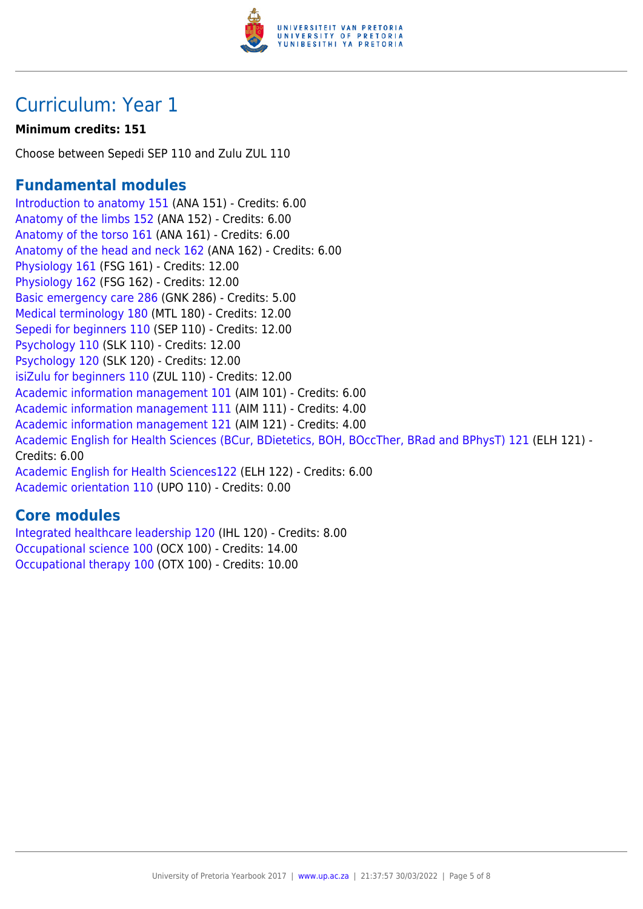

# Curriculum: Year 1

#### **Minimum credits: 151**

Choose between Sepedi SEP 110 and Zulu ZUL 110

### **Fundamental modules**

[Introduction to anatomy 151](https://www.up.ac.za/yearbooks/2017/modules/view/ANA 151) (ANA 151) - Credits: 6.00 [Anatomy of the limbs 152](https://www.up.ac.za/yearbooks/2017/modules/view/ANA 152) (ANA 152) - Credits: 6.00 [Anatomy of the torso 161](https://www.up.ac.za/yearbooks/2017/modules/view/ANA 161) (ANA 161) - Credits: 6.00 [Anatomy of the head and neck 162](https://www.up.ac.za/yearbooks/2017/modules/view/ANA 162) (ANA 162) - Credits: 6.00 [Physiology 161](https://www.up.ac.za/yearbooks/2017/modules/view/FSG 161) (FSG 161) - Credits: 12.00 [Physiology 162](https://www.up.ac.za/yearbooks/2017/modules/view/FSG 162) (FSG 162) - Credits: 12.00 [Basic emergency care 286](https://www.up.ac.za/yearbooks/2017/modules/view/GNK 286) (GNK 286) - Credits: 5.00 [Medical terminology 180](https://www.up.ac.za/yearbooks/2017/modules/view/MTL 180) (MTL 180) - Credits: 12.00 [Sepedi for beginners 110](https://www.up.ac.za/yearbooks/2017/modules/view/SEP 110) (SEP 110) - Credits: 12.00 [Psychology 110](https://www.up.ac.za/yearbooks/2017/modules/view/SLK 110) (SLK 110) - Credits: 12.00 [Psychology 120](https://www.up.ac.za/yearbooks/2017/modules/view/SLK 120) (SLK 120) - Credits: 12.00 [isiZulu for beginners 110](https://www.up.ac.za/yearbooks/2017/modules/view/ZUL 110) (ZUL 110) - Credits: 12.00 [Academic information management 101](https://www.up.ac.za/yearbooks/2017/modules/view/AIM 101) (AIM 101) - Credits: 6.00 [Academic information management 111](https://www.up.ac.za/yearbooks/2017/modules/view/AIM 111) (AIM 111) - Credits: 4.00 [Academic information management 121](https://www.up.ac.za/yearbooks/2017/modules/view/AIM 121) (AIM 121) - Credits: 4.00 [Academic English for Health Sciences \(BCur, BDietetics, BOH, BOccTher, BRad and BPhysT\) 121](https://www.up.ac.za/yearbooks/2017/modules/view/ELH 121) (ELH 121) - Credits: 6.00 [Academic English for Health Sciences122](https://www.up.ac.za/yearbooks/2017/modules/view/ELH 122) (ELH 122) - Credits: 6.00 [Academic orientation 110](https://www.up.ac.za/yearbooks/2017/modules/view/UPO 110) (UPO 110) - Credits: 0.00

### **Core modules**

[Integrated healthcare leadership 120](https://www.up.ac.za/yearbooks/2017/modules/view/IHL 120) (IHL 120) - Credits: 8.00 [Occupational science 100](https://www.up.ac.za/yearbooks/2017/modules/view/OCX 100) (OCX 100) - Credits: 14.00 [Occupational therapy 100](https://www.up.ac.za/yearbooks/2017/modules/view/OTX 100) (OTX 100) - Credits: 10.00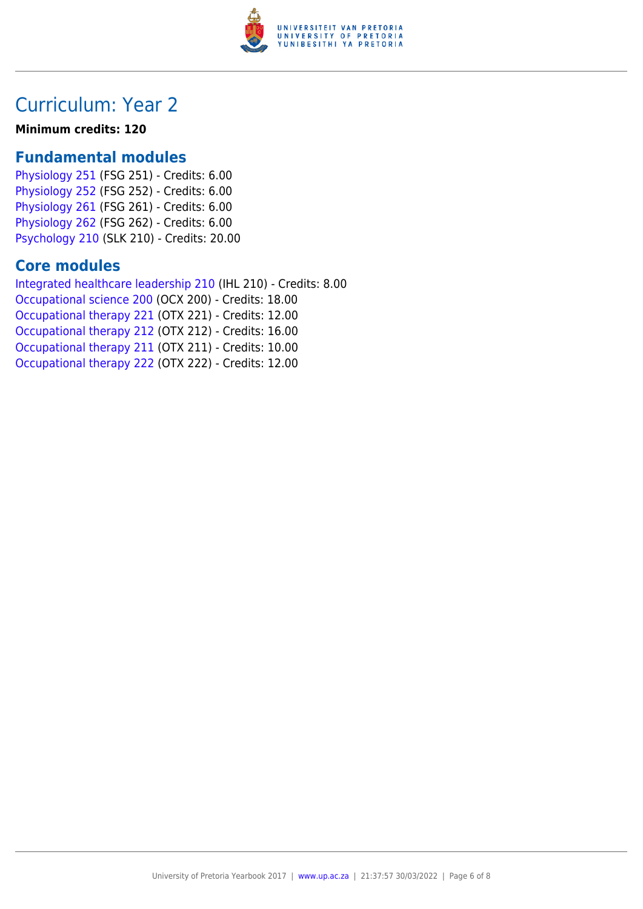

# Curriculum: Year 2

#### **Minimum credits: 120**

### **Fundamental modules**

[Physiology 251](https://www.up.ac.za/yearbooks/2017/modules/view/FSG 251) (FSG 251) - Credits: 6.00 [Physiology 252](https://www.up.ac.za/yearbooks/2017/modules/view/FSG 252) (FSG 252) - Credits: 6.00 [Physiology 261](https://www.up.ac.za/yearbooks/2017/modules/view/FSG 261) (FSG 261) - Credits: 6.00 [Physiology 262](https://www.up.ac.za/yearbooks/2017/modules/view/FSG 262) (FSG 262) - Credits: 6.00 [Psychology 210](https://www.up.ac.za/yearbooks/2017/modules/view/SLK 210) (SLK 210) - Credits: 20.00

### **Core modules**

[Integrated healthcare leadership 210](https://www.up.ac.za/yearbooks/2017/modules/view/IHL 210) (IHL 210) - Credits: 8.00 [Occupational science 200](https://www.up.ac.za/yearbooks/2017/modules/view/OCX 200) (OCX 200) - Credits: 18.00 [Occupational therapy 221](https://www.up.ac.za/yearbooks/2017/modules/view/OTX 221) (OTX 221) - Credits: 12.00 [Occupational therapy 212](https://www.up.ac.za/yearbooks/2017/modules/view/OTX 212) (OTX 212) - Credits: 16.00 [Occupational therapy 211](https://www.up.ac.za/yearbooks/2017/modules/view/OTX 211) (OTX 211) - Credits: 10.00 [Occupational therapy 222](https://www.up.ac.za/yearbooks/2017/modules/view/OTX 222) (OTX 222) - Credits: 12.00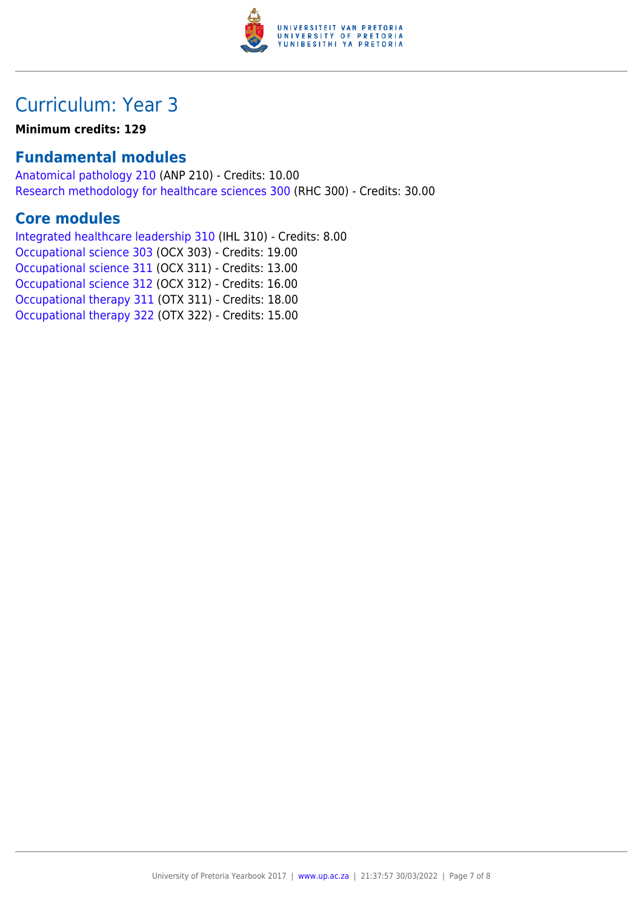

# Curriculum: Year 3

**Minimum credits: 129**

### **Fundamental modules**

[Anatomical pathology 210](https://www.up.ac.za/yearbooks/2017/modules/view/ANP 210) (ANP 210) - Credits: 10.00 [Research methodology for healthcare sciences 300](https://www.up.ac.za/yearbooks/2017/modules/view/RHC 300) (RHC 300) - Credits: 30.00

### **Core modules**

[Integrated healthcare leadership 310](https://www.up.ac.za/yearbooks/2017/modules/view/IHL 310) (IHL 310) - Credits: 8.00 [Occupational science 303](https://www.up.ac.za/yearbooks/2017/modules/view/OCX 303) (OCX 303) - Credits: 19.00 [Occupational science 311](https://www.up.ac.za/yearbooks/2017/modules/view/OCX 311) (OCX 311) - Credits: 13.00 [Occupational science 312](https://www.up.ac.za/yearbooks/2017/modules/view/OCX 312) (OCX 312) - Credits: 16.00 [Occupational therapy 311](https://www.up.ac.za/yearbooks/2017/modules/view/OTX 311) (OTX 311) - Credits: 18.00 [Occupational therapy 322](https://www.up.ac.za/yearbooks/2017/modules/view/OTX 322) (OTX 322) - Credits: 15.00